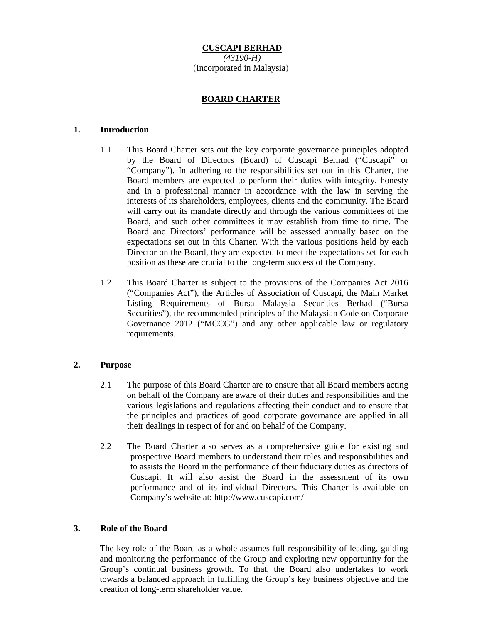**CUSCAPI BERHAD**  *(43190-H)*  (Incorporated in Malaysia)

## **BOARD CHARTER**

### **1. Introduction**

- 1.1 This Board Charter sets out the key corporate governance principles adopted by the Board of Directors (Board) of Cuscapi Berhad ("Cuscapi" or "Company"). In adhering to the responsibilities set out in this Charter, the Board members are expected to perform their duties with integrity, honesty and in a professional manner in accordance with the law in serving the interests of its shareholders, employees, clients and the community. The Board will carry out its mandate directly and through the various committees of the Board, and such other committees it may establish from time to time. The Board and Directors' performance will be assessed annually based on the expectations set out in this Charter. With the various positions held by each Director on the Board, they are expected to meet the expectations set for each position as these are crucial to the long-term success of the Company.
- 1.2 This Board Charter is subject to the provisions of the Companies Act 2016 ("Companies Act"), the Articles of Association of Cuscapi, the Main Market Listing Requirements of Bursa Malaysia Securities Berhad ("Bursa Securities"), the recommended principles of the Malaysian Code on Corporate Governance 2012 ("MCCG") and any other applicable law or regulatory requirements.

### **2. Purpose**

- 2.1 The purpose of this Board Charter are to ensure that all Board members acting on behalf of the Company are aware of their duties and responsibilities and the various legislations and regulations affecting their conduct and to ensure that the principles and practices of good corporate governance are applied in all their dealings in respect of for and on behalf of the Company.
- 2.2 The Board Charter also serves as a comprehensive guide for existing and prospective Board members to understand their roles and responsibilities and to assists the Board in the performance of their fiduciary duties as directors of Cuscapi. It will also assist the Board in the assessment of its own performance and of its individual Directors. This Charter is available on Company's website at: http://www.cuscapi.com/

### **3. Role of the Board**

The key role of the Board as a whole assumes full responsibility of leading, guiding and monitoring the performance of the Group and exploring new opportunity for the Group's continual business growth. To that, the Board also undertakes to work towards a balanced approach in fulfilling the Group's key business objective and the creation of long-term shareholder value.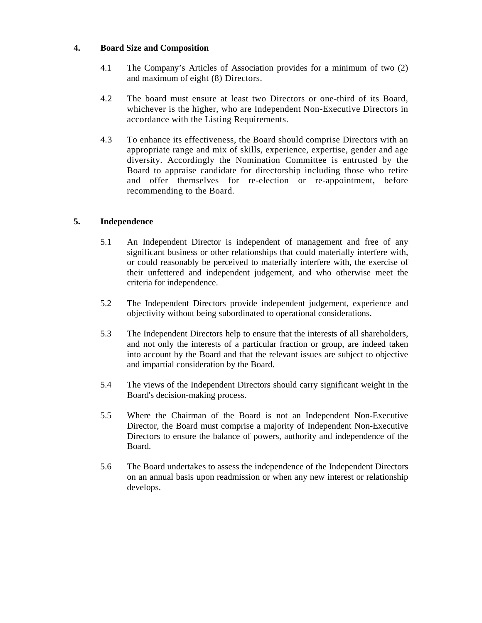## **4. Board Size and Composition**

- 4.1 The Company's Articles of Association provides for a minimum of two (2) and maximum of eight (8) Directors.
- 4.2 The board must ensure at least two Directors or one-third of its Board, whichever is the higher, who are Independent Non-Executive Directors in accordance with the Listing Requirements.
- 4.3 To enhance its effectiveness, the Board should comprise Directors with an appropriate range and mix of skills, experience, expertise, gender and age diversity. Accordingly the Nomination Committee is entrusted by the Board to appraise candidate for directorship including those who retire and offer themselves for re-election or re-appointment, before recommending to the Board.

# **5. Independence**

- 5.1 An Independent Director is independent of management and free of any significant business or other relationships that could materially interfere with, or could reasonably be perceived to materially interfere with, the exercise of their unfettered and independent judgement, and who otherwise meet the criteria for independence.
- 5.2 The Independent Directors provide independent judgement, experience and objectivity without being subordinated to operational considerations.
- 5.3 The Independent Directors help to ensure that the interests of all shareholders, and not only the interests of a particular fraction or group, are indeed taken into account by the Board and that the relevant issues are subject to objective and impartial consideration by the Board.
- 5.4 The views of the Independent Directors should carry significant weight in the Board's decision-making process.
- 5.5 Where the Chairman of the Board is not an Independent Non-Executive Director, the Board must comprise a majority of Independent Non-Executive Directors to ensure the balance of powers, authority and independence of the Board.
- 5.6 The Board undertakes to assess the independence of the Independent Directors on an annual basis upon readmission or when any new interest or relationship develops.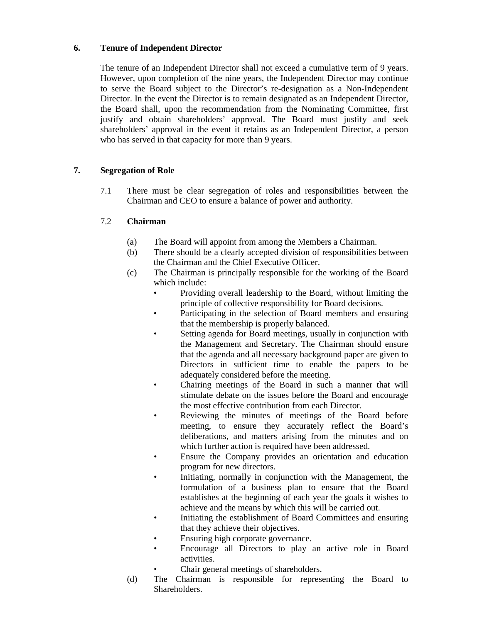# **6. Tenure of Independent Director**

The tenure of an Independent Director shall not exceed a cumulative term of 9 years. However, upon completion of the nine years, the Independent Director may continue to serve the Board subject to the Director's re-designation as a Non-Independent Director. In the event the Director is to remain designated as an Independent Director, the Board shall, upon the recommendation from the Nominating Committee, first justify and obtain shareholders' approval. The Board must justify and seek shareholders' approval in the event it retains as an Independent Director, a person who has served in that capacity for more than 9 years.

# **7. Segregation of Role**

7.1 There must be clear segregation of roles and responsibilities between the Chairman and CEO to ensure a balance of power and authority.

# 7.2 **Chairman**

- (a) The Board will appoint from among the Members a Chairman.
- (b) There should be a clearly accepted division of responsibilities between the Chairman and the Chief Executive Officer.
- (c) The Chairman is principally responsible for the working of the Board which include:
	- Providing overall leadership to the Board, without limiting the principle of collective responsibility for Board decisions.
	- Participating in the selection of Board members and ensuring that the membership is properly balanced.
	- Setting agenda for Board meetings, usually in conjunction with the Management and Secretary. The Chairman should ensure that the agenda and all necessary background paper are given to Directors in sufficient time to enable the papers to be adequately considered before the meeting.
	- Chairing meetings of the Board in such a manner that will stimulate debate on the issues before the Board and encourage the most effective contribution from each Director.
	- Reviewing the minutes of meetings of the Board before meeting, to ensure they accurately reflect the Board's deliberations, and matters arising from the minutes and on which further action is required have been addressed.
	- Ensure the Company provides an orientation and education program for new directors.
	- Initiating, normally in conjunction with the Management, the formulation of a business plan to ensure that the Board establishes at the beginning of each year the goals it wishes to achieve and the means by which this will be carried out.
	- Initiating the establishment of Board Committees and ensuring that they achieve their objectives.
	- Ensuring high corporate governance.
	- Encourage all Directors to play an active role in Board activities.
	- Chair general meetings of shareholders.
- (d) The Chairman is responsible for representing the Board to Shareholders.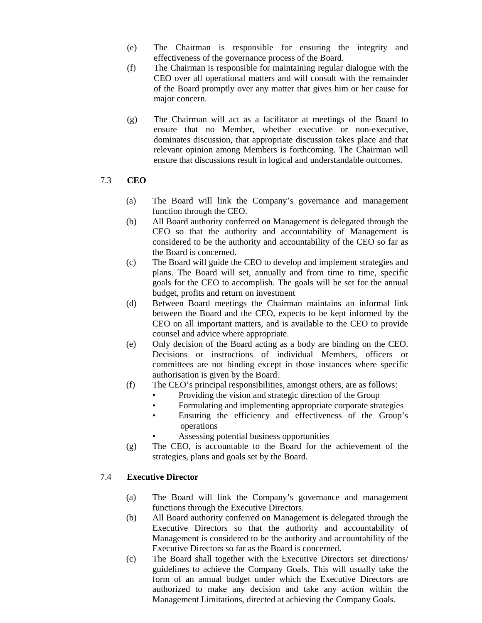- (e) The Chairman is responsible for ensuring the integrity and effectiveness of the governance process of the Board.
- (f) The Chairman is responsible for maintaining regular dialogue with the CEO over all operational matters and will consult with the remainder of the Board promptly over any matter that gives him or her cause for major concern.
- (g) The Chairman will act as a facilitator at meetings of the Board to ensure that no Member, whether executive or non-executive, dominates discussion, that appropriate discussion takes place and that relevant opinion among Members is forthcoming. The Chairman will ensure that discussions result in logical and understandable outcomes.

## 7.3 **CEO**

- (a) The Board will link the Company's governance and management function through the CEO.
- (b) All Board authority conferred on Management is delegated through the CEO so that the authority and accountability of Management is considered to be the authority and accountability of the CEO so far as the Board is concerned.
- (c) The Board will guide the CEO to develop and implement strategies and plans. The Board will set, annually and from time to time, specific goals for the CEO to accomplish. The goals will be set for the annual budget, profits and return on investment
- (d) Between Board meetings the Chairman maintains an informal link between the Board and the CEO, expects to be kept informed by the CEO on all important matters, and is available to the CEO to provide counsel and advice where appropriate.
- (e) Only decision of the Board acting as a body are binding on the CEO. Decisions or instructions of individual Members, officers or committees are not binding except in those instances where specific authorisation is given by the Board.
- (f) The CEO's principal responsibilities, amongst others, are as follows:
	- Providing the vision and strategic direction of the Group
	- Formulating and implementing appropriate corporate strategies
	- Ensuring the efficiency and effectiveness of the Group's operations
	- Assessing potential business opportunities
- (g) The CEO, is accountable to the Board for the achievement of the strategies, plans and goals set by the Board.

# 7.4 **Executive Director**

- (a) The Board will link the Company's governance and management functions through the Executive Directors.
- (b) All Board authority conferred on Management is delegated through the Executive Directors so that the authority and accountability of Management is considered to be the authority and accountability of the Executive Directors so far as the Board is concerned.
- (c) The Board shall together with the Executive Directors set directions/ guidelines to achieve the Company Goals. This will usually take the form of an annual budget under which the Executive Directors are authorized to make any decision and take any action within the Management Limitations, directed at achieving the Company Goals.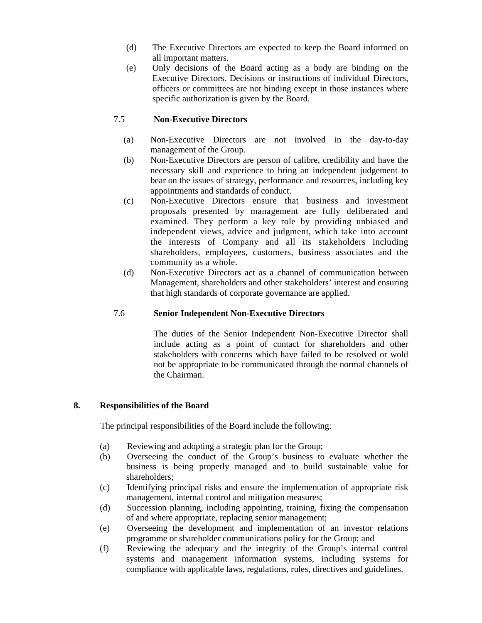- (d) The Executive Directors are expected to keep the Board informed on all important matters.
- (e) Only decisions of the Board acting as a body are binding on the Executive Directors. Decisions or instructions of individual Directors, officers or committees are not binding except in those instances where specific authorization is given by the Board.

## 7.5 **Non-Executive Directors**

- (a) Non-Executive Directors are not involved in the day-to-day management of the Group.
- (b) Non-Executive Directors are person of calibre, credibility and have the necessary skill and experience to bring an independent judgement to bear on the issues of strategy, performance and resources, including key appointments and standards of conduct.
- (c) Non-Executive Directors ensure that business and investment proposals presented by management are fully deliberated and examined. They perform a key role by providing unbiased and independent views, advice and judgment, which take into account the interests of Company and all its stakeholders including shareholders, employees, customers, business associates and the community as a whole.
- (d) Non-Executive Directors act as a channel of communication between Management, shareholders and other stakeholders' interest and ensuring that high standards of corporate governance are applied.

### 7.6 **Senior Independent Non-Executive Directors**

The duties of the Senior Independent Non-Executive Director shall include acting as a point of contact for shareholders and other stakeholders with concerns which have failed to be resolved or wold not be appropriate to be communicated through the normal channels of the Chairman.

### **8. Responsibilities of the Board**

The principal responsibilities of the Board include the following:

- (a) Reviewing and adopting a strategic plan for the Group;
- (b) Overseeing the conduct of the Group's business to evaluate whether the business is being properly managed and to build sustainable value for shareholders;
- (c) Identifying principal risks and ensure the implementation of appropriate risk management, internal control and mitigation measures;
- (d) Succession planning, including appointing, training, fixing the compensation of and where appropriate, replacing senior management;
- (e) Overseeing the development and implementation of an investor relations programme or shareholder communications policy for the Group; and
- (f) Reviewing the adequacy and the integrity of the Group's internal control systems and management information systems, including systems for compliance with applicable laws, regulations, rules, directives and guidelines.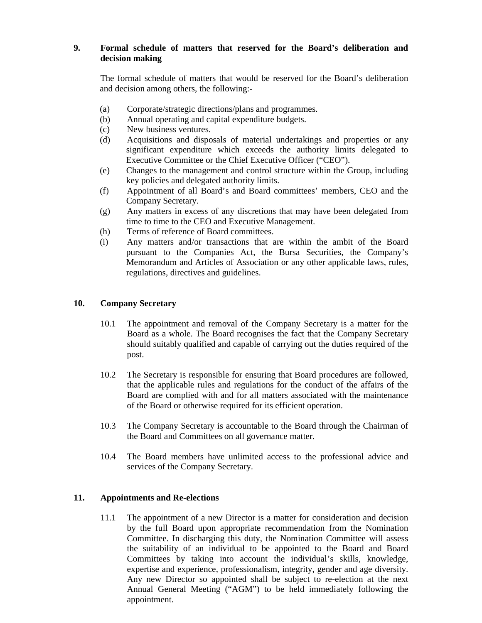# **9. Formal schedule of matters that reserved for the Board's deliberation and decision making**

The formal schedule of matters that would be reserved for the Board's deliberation and decision among others, the following:-

- (a) Corporate/strategic directions/plans and programmes.
- (b) Annual operating and capital expenditure budgets.
- (c) New business ventures.
- (d) Acquisitions and disposals of material undertakings and properties or any significant expenditure which exceeds the authority limits delegated to Executive Committee or the Chief Executive Officer ("CEO").
- (e) Changes to the management and control structure within the Group, including key policies and delegated authority limits.
- (f) Appointment of all Board's and Board committees' members, CEO and the Company Secretary.
- (g) Any matters in excess of any discretions that may have been delegated from time to time to the CEO and Executive Management.
- (h) Terms of reference of Board committees.
- (i) Any matters and/or transactions that are within the ambit of the Board pursuant to the Companies Act, the Bursa Securities, the Company's Memorandum and Articles of Association or any other applicable laws, rules, regulations, directives and guidelines.

## **10. Company Secretary**

- 10.1 The appointment and removal of the Company Secretary is a matter for the Board as a whole. The Board recognises the fact that the Company Secretary should suitably qualified and capable of carrying out the duties required of the post.
- 10.2 The Secretary is responsible for ensuring that Board procedures are followed, that the applicable rules and regulations for the conduct of the affairs of the Board are complied with and for all matters associated with the maintenance of the Board or otherwise required for its efficient operation.
- 10.3 The Company Secretary is accountable to the Board through the Chairman of the Board and Committees on all governance matter.
- 10.4 The Board members have unlimited access to the professional advice and services of the Company Secretary.

### **11. Appointments and Re-elections**

11.1 The appointment of a new Director is a matter for consideration and decision by the full Board upon appropriate recommendation from the Nomination Committee. In discharging this duty, the Nomination Committee will assess the suitability of an individual to be appointed to the Board and Board Committees by taking into account the individual's skills, knowledge, expertise and experience, professionalism, integrity, gender and age diversity. Any new Director so appointed shall be subject to re-election at the next Annual General Meeting ("AGM") to be held immediately following the appointment.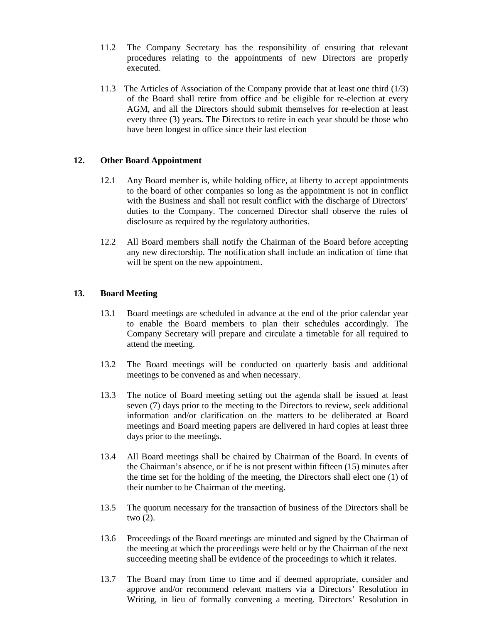- 11.2 The Company Secretary has the responsibility of ensuring that relevant procedures relating to the appointments of new Directors are properly executed.
- 11.3 The Articles of Association of the Company provide that at least one third (1/3) of the Board shall retire from office and be eligible for re-election at every AGM, and all the Directors should submit themselves for re-election at least every three (3) years. The Directors to retire in each year should be those who have been longest in office since their last election

## **12. Other Board Appointment**

- 12.1 Any Board member is, while holding office, at liberty to accept appointments to the board of other companies so long as the appointment is not in conflict with the Business and shall not result conflict with the discharge of Directors' duties to the Company. The concerned Director shall observe the rules of disclosure as required by the regulatory authorities.
- 12.2 All Board members shall notify the Chairman of the Board before accepting any new directorship. The notification shall include an indication of time that will be spent on the new appointment.

## **13. Board Meeting**

- 13.1 Board meetings are scheduled in advance at the end of the prior calendar year to enable the Board members to plan their schedules accordingly. The Company Secretary will prepare and circulate a timetable for all required to attend the meeting.
- 13.2 The Board meetings will be conducted on quarterly basis and additional meetings to be convened as and when necessary.
- 13.3 The notice of Board meeting setting out the agenda shall be issued at least seven (7) days prior to the meeting to the Directors to review, seek additional information and/or clarification on the matters to be deliberated at Board meetings and Board meeting papers are delivered in hard copies at least three days prior to the meetings.
- 13.4 All Board meetings shall be chaired by Chairman of the Board. In events of the Chairman's absence, or if he is not present within fifteen (15) minutes after the time set for the holding of the meeting, the Directors shall elect one (1) of their number to be Chairman of the meeting.
- 13.5 The quorum necessary for the transaction of business of the Directors shall be two (2).
- 13.6 Proceedings of the Board meetings are minuted and signed by the Chairman of the meeting at which the proceedings were held or by the Chairman of the next succeeding meeting shall be evidence of the proceedings to which it relates.
- 13.7 The Board may from time to time and if deemed appropriate, consider and approve and/or recommend relevant matters via a Directors' Resolution in Writing, in lieu of formally convening a meeting. Directors' Resolution in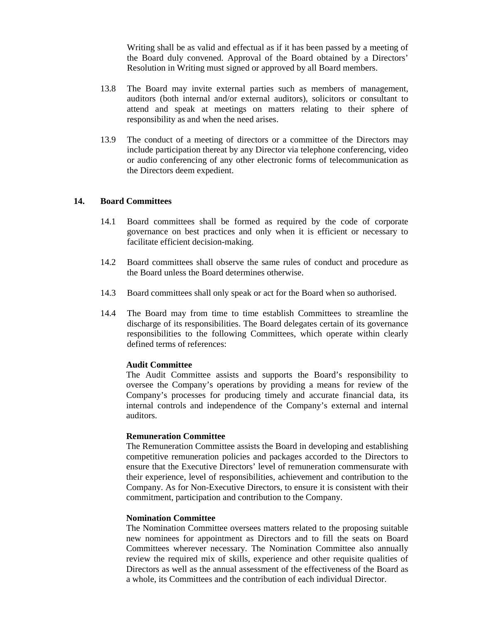Writing shall be as valid and effectual as if it has been passed by a meeting of the Board duly convened. Approval of the Board obtained by a Directors' Resolution in Writing must signed or approved by all Board members.

- 13.8 The Board may invite external parties such as members of management, auditors (both internal and/or external auditors), solicitors or consultant to attend and speak at meetings on matters relating to their sphere of responsibility as and when the need arises.
- 13.9 The conduct of a meeting of directors or a committee of the Directors may include participation thereat by any Director via telephone conferencing, video or audio conferencing of any other electronic forms of telecommunication as the Directors deem expedient.

#### **14. Board Committees**

- 14.1 Board committees shall be formed as required by the code of corporate governance on best practices and only when it is efficient or necessary to facilitate efficient decision-making.
- 14.2 Board committees shall observe the same rules of conduct and procedure as the Board unless the Board determines otherwise.
- 14.3 Board committees shall only speak or act for the Board when so authorised.
- 14.4 The Board may from time to time establish Committees to streamline the discharge of its responsibilities. The Board delegates certain of its governance responsibilities to the following Committees, which operate within clearly defined terms of references:

### **Audit Committee**

The Audit Committee assists and supports the Board's responsibility to oversee the Company's operations by providing a means for review of the Company's processes for producing timely and accurate financial data, its internal controls and independence of the Company's external and internal auditors.

#### **Remuneration Committee**

The Remuneration Committee assists the Board in developing and establishing competitive remuneration policies and packages accorded to the Directors to ensure that the Executive Directors' level of remuneration commensurate with their experience, level of responsibilities, achievement and contribution to the Company. As for Non-Executive Directors, to ensure it is consistent with their commitment, participation and contribution to the Company.

#### **Nomination Committee**

The Nomination Committee oversees matters related to the proposing suitable new nominees for appointment as Directors and to fill the seats on Board Committees wherever necessary. The Nomination Committee also annually review the required mix of skills, experience and other requisite qualities of Directors as well as the annual assessment of the effectiveness of the Board as a whole, its Committees and the contribution of each individual Director.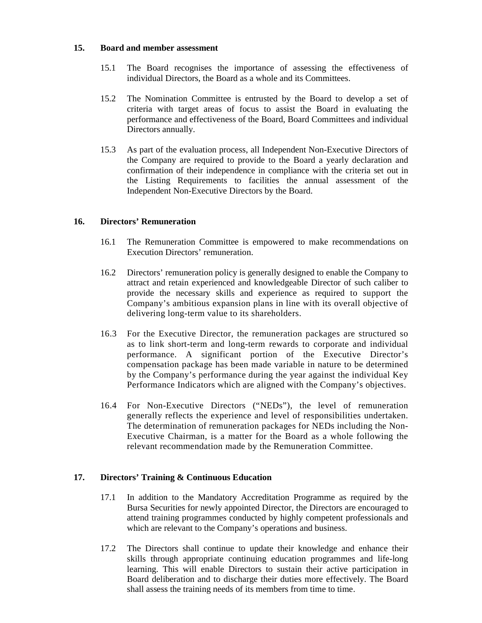### **15. Board and member assessment**

- 15.1 The Board recognises the importance of assessing the effectiveness of individual Directors, the Board as a whole and its Committees.
- 15.2 The Nomination Committee is entrusted by the Board to develop a set of criteria with target areas of focus to assist the Board in evaluating the performance and effectiveness of the Board, Board Committees and individual Directors annually.
- 15.3 As part of the evaluation process, all Independent Non-Executive Directors of the Company are required to provide to the Board a yearly declaration and confirmation of their independence in compliance with the criteria set out in the Listing Requirements to facilities the annual assessment of the Independent Non-Executive Directors by the Board.

## **16. Directors' Remuneration**

- 16.1 The Remuneration Committee is empowered to make recommendations on Execution Directors' remuneration.
- 16.2 Directors' remuneration policy is generally designed to enable the Company to attract and retain experienced and knowledgeable Director of such caliber to provide the necessary skills and experience as required to support the Company's ambitious expansion plans in line with its overall objective of delivering long-term value to its shareholders.
- 16.3 For the Executive Director, the remuneration packages are structured so as to link short-term and long-term rewards to corporate and individual performance. A significant portion of the Executive Director's compensation package has been made variable in nature to be determined by the Company's performance during the year against the individual Key Performance Indicators which are aligned with the Company's objectives.
- 16.4 For Non-Executive Directors ("NEDs"), the level of remuneration generally reflects the experience and level of responsibilities undertaken. The determination of remuneration packages for NEDs including the Non-Executive Chairman, is a matter for the Board as a whole following the relevant recommendation made by the Remuneration Committee.

### **17. Directors' Training & Continuous Education**

- 17.1 In addition to the Mandatory Accreditation Programme as required by the Bursa Securities for newly appointed Director, the Directors are encouraged to attend training programmes conducted by highly competent professionals and which are relevant to the Company's operations and business.
- 17.2 The Directors shall continue to update their knowledge and enhance their skills through appropriate continuing education programmes and life-long learning. This will enable Directors to sustain their active participation in Board deliberation and to discharge their duties more effectively. The Board shall assess the training needs of its members from time to time.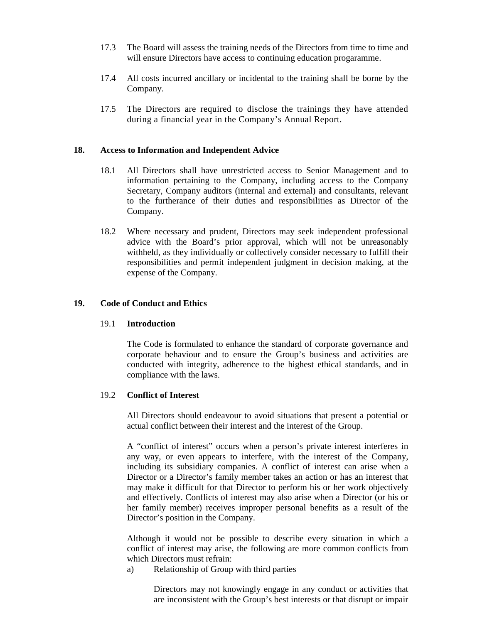- 17.3 The Board will assess the training needs of the Directors from time to time and will ensure Directors have access to continuing education progaramme.
- 17.4 All costs incurred ancillary or incidental to the training shall be borne by the Company.
- 17.5 The Directors are required to disclose the trainings they have attended during a financial year in the Company's Annual Report.

#### **18. Access to Information and Independent Advice**

- 18.1 All Directors shall have unrestricted access to Senior Management and to information pertaining to the Company, including access to the Company Secretary, Company auditors (internal and external) and consultants, relevant to the furtherance of their duties and responsibilities as Director of the Company.
- 18.2 Where necessary and prudent, Directors may seek independent professional advice with the Board's prior approval, which will not be unreasonably withheld, as they individually or collectively consider necessary to fulfill their responsibilities and permit independent judgment in decision making, at the expense of the Company.

### **19. Code of Conduct and Ethics**

#### 19.1 **Introduction**

The Code is formulated to enhance the standard of corporate governance and corporate behaviour and to ensure the Group's business and activities are conducted with integrity, adherence to the highest ethical standards, and in compliance with the laws.

### 19.2 **Conflict of Interest**

All Directors should endeavour to avoid situations that present a potential or actual conflict between their interest and the interest of the Group.

A "conflict of interest" occurs when a person's private interest interferes in any way, or even appears to interfere, with the interest of the Company, including its subsidiary companies. A conflict of interest can arise when a Director or a Director's family member takes an action or has an interest that may make it difficult for that Director to perform his or her work objectively and effectively. Conflicts of interest may also arise when a Director (or his or her family member) receives improper personal benefits as a result of the Director's position in the Company.

Although it would not be possible to describe every situation in which a conflict of interest may arise, the following are more common conflicts from which Directors must refrain:

a) Relationship of Group with third parties

Directors may not knowingly engage in any conduct or activities that are inconsistent with the Group's best interests or that disrupt or impair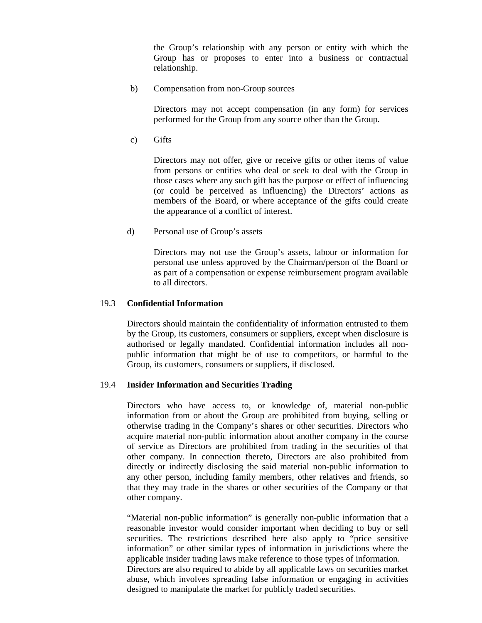the Group's relationship with any person or entity with which the Group has or proposes to enter into a business or contractual relationship.

b) Compensation from non-Group sources

Directors may not accept compensation (in any form) for services performed for the Group from any source other than the Group.

c) Gifts

Directors may not offer, give or receive gifts or other items of value from persons or entities who deal or seek to deal with the Group in those cases where any such gift has the purpose or effect of influencing (or could be perceived as influencing) the Directors' actions as members of the Board, or where acceptance of the gifts could create the appearance of a conflict of interest.

d) Personal use of Group's assets

Directors may not use the Group's assets, labour or information for personal use unless approved by the Chairman/person of the Board or as part of a compensation or expense reimbursement program available to all directors.

#### 19.3 **Confidential Information**

Directors should maintain the confidentiality of information entrusted to them by the Group, its customers, consumers or suppliers, except when disclosure is authorised or legally mandated. Confidential information includes all nonpublic information that might be of use to competitors, or harmful to the Group, its customers, consumers or suppliers, if disclosed.

#### 19.4 **Insider Information and Securities Trading**

Directors who have access to, or knowledge of, material non-public information from or about the Group are prohibited from buying, selling or otherwise trading in the Company's shares or other securities. Directors who acquire material non-public information about another company in the course of service as Directors are prohibited from trading in the securities of that other company. In connection thereto, Directors are also prohibited from directly or indirectly disclosing the said material non-public information to any other person, including family members, other relatives and friends, so that they may trade in the shares or other securities of the Company or that other company.

"Material non-public information" is generally non-public information that a reasonable investor would consider important when deciding to buy or sell securities. The restrictions described here also apply to "price sensitive information" or other similar types of information in jurisdictions where the applicable insider trading laws make reference to those types of information. Directors are also required to abide by all applicable laws on securities market abuse, which involves spreading false information or engaging in activities designed to manipulate the market for publicly traded securities.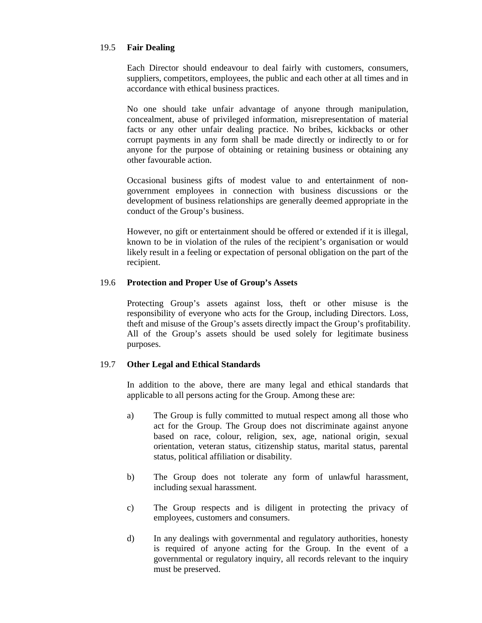### 19.5 **Fair Dealing**

Each Director should endeavour to deal fairly with customers, consumers, suppliers, competitors, employees, the public and each other at all times and in accordance with ethical business practices.

No one should take unfair advantage of anyone through manipulation, concealment, abuse of privileged information, misrepresentation of material facts or any other unfair dealing practice. No bribes, kickbacks or other corrupt payments in any form shall be made directly or indirectly to or for anyone for the purpose of obtaining or retaining business or obtaining any other favourable action.

Occasional business gifts of modest value to and entertainment of nongovernment employees in connection with business discussions or the development of business relationships are generally deemed appropriate in the conduct of the Group's business.

However, no gift or entertainment should be offered or extended if it is illegal, known to be in violation of the rules of the recipient's organisation or would likely result in a feeling or expectation of personal obligation on the part of the recipient.

#### 19.6 **Protection and Proper Use of Group's Assets**

Protecting Group's assets against loss, theft or other misuse is the responsibility of everyone who acts for the Group, including Directors. Loss, theft and misuse of the Group's assets directly impact the Group's profitability. All of the Group's assets should be used solely for legitimate business purposes.

### 19.7 **Other Legal and Ethical Standards**

In addition to the above, there are many legal and ethical standards that applicable to all persons acting for the Group. Among these are:

- a) The Group is fully committed to mutual respect among all those who act for the Group. The Group does not discriminate against anyone based on race, colour, religion, sex, age, national origin, sexual orientation, veteran status, citizenship status, marital status, parental status, political affiliation or disability.
- b) The Group does not tolerate any form of unlawful harassment, including sexual harassment.
- c) The Group respects and is diligent in protecting the privacy of employees, customers and consumers.
- d) In any dealings with governmental and regulatory authorities, honesty is required of anyone acting for the Group. In the event of a governmental or regulatory inquiry, all records relevant to the inquiry must be preserved.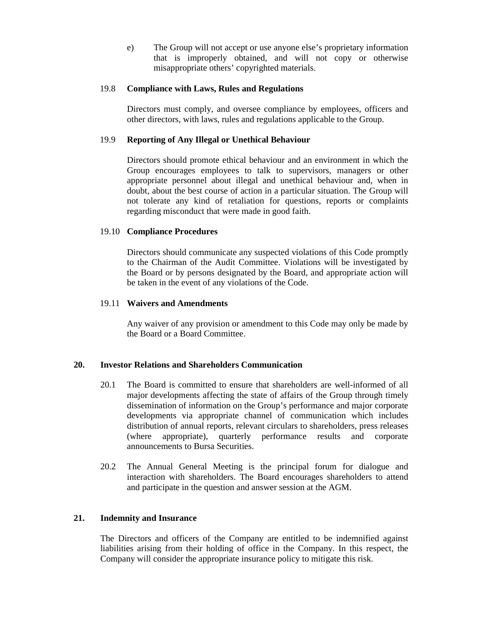e) The Group will not accept or use anyone else's proprietary information that is improperly obtained, and will not copy or otherwise misappropriate others' copyrighted materials.

### 19.8 **Compliance with Laws, Rules and Regulations**

Directors must comply, and oversee compliance by employees, officers and other directors, with laws, rules and regulations applicable to the Group.

## 19.9 **Reporting of Any Illegal or Unethical Behaviour**

Directors should promote ethical behaviour and an environment in which the Group encourages employees to talk to supervisors, managers or other appropriate personnel about illegal and unethical behaviour and, when in doubt, about the best course of action in a particular situation. The Group will not tolerate any kind of retaliation for questions, reports or complaints regarding misconduct that were made in good faith.

## 19.10 **Compliance Procedures**

Directors should communicate any suspected violations of this Code promptly to the Chairman of the Audit Committee. Violations will be investigated by the Board or by persons designated by the Board, and appropriate action will be taken in the event of any violations of the Code.

### 19.11 **Waivers and Amendments**

Any waiver of any provision or amendment to this Code may only be made by the Board or a Board Committee.

### **20. Investor Relations and Shareholders Communication**

- 20.1 The Board is committed to ensure that shareholders are well-informed of all major developments affecting the state of affairs of the Group through timely dissemination of information on the Group's performance and major corporate developments via appropriate channel of communication which includes distribution of annual reports, relevant circulars to shareholders, press releases (where appropriate), quarterly performance results and corporate announcements to Bursa Securities.
- 20.2 The Annual General Meeting is the principal forum for dialogue and interaction with shareholders. The Board encourages shareholders to attend and participate in the question and answer session at the AGM.

### **21. Indemnity and Insurance**

The Directors and officers of the Company are entitled to be indemnified against liabilities arising from their holding of office in the Company. In this respect, the Company will consider the appropriate insurance policy to mitigate this risk.